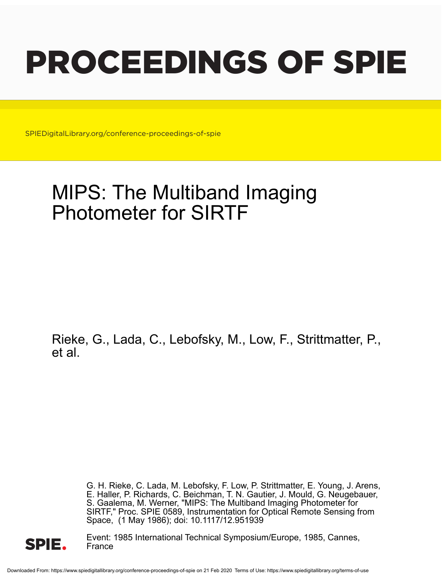# PROCEEDINGS OF SPIE

SPIEDigitalLibrary.org/conference-proceedings-of-spie

# MIPS: The Multiband Imaging Photometer for SIRTF

Rieke, G., Lada, C., Lebofsky, M., Low, F., Strittmatter, P., et al.

> G. H. Rieke, C. Lada, M. Lebofsky, F. Low, P. Strittmatter, E. Young, J. Arens, E. Haller, P. Richards, C. Beichman, T. N. Gautier, J. Mould, G. Neugebauer, S. Gaalema, M. Werner, "MIPS: The Multiband Imaging Photometer for SIRTF," Proc. SPIE 0589, Instrumentation for Optical Remote Sensing from Space, (1 May 1986); doi: 10.1117/12.951939



Event: 1985 International Technical Symposium/Europe, 1985, Cannes, France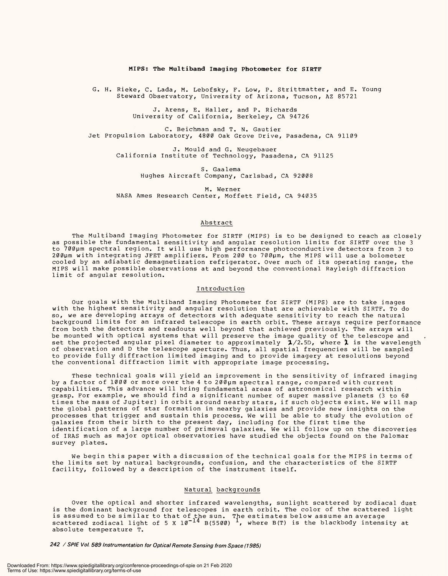# MIPS: The Multiband Imaging Photometer for SIRTF **MIPS: The Multiband Imaging Photometer for** SIRTF

G. H. Rieke, C. Lada, M. Lebofsky, F. Low, P. Strittmatter, and E. Young G. H. Rieke, C. Lada, M. Lebofsky, F. Low, P. Strittmatter, and E. Young Steward Observatory, University of Arizona, Tucson, AZ 85721 Steward Observatory, University of Arizona, Tucson, AZ 85721

> J. Arens, E. Haller, and P. Richards J. Arens, E. Haller, and P. Richards University of California, Berkeley, CA 94726 University of California, Berkeley, CA 94726

C. Beichman and T. N. Gautier C. Beichman and T. N. Gautier Jet Propulsion Laboratory, 4800 Oak Grove Drive, Pasadena, CA 91109 Jet Propulsion Laboratory, 4800 Oak Grove Drive, Pasadena, CA 91109

J. Mould and G. Neugebauer J. Mould and G. Neugebauer California Institute of Technology, Pasadena, CA 91125 California Institute of Technology, Pasadena, CA 91125

S. Gaalema S. Gaalema Hughes Aircraft Company, Carlsbad, CA 92008 Hughes Aircraft Company, Carlsbad, CA 92008

M. Werner M. Werner NASA Ames Research Center, Moffett Field, CA 94035 NASA Ames Research Center, Moffett Field, CA 94035

#### Abstract Abstract

The Multiband Imaging Photometer for SIRTF (MIPS) is to be designed to reach as closely The Multiband Imaging Photometer for SIRTF (MIPS) is to be designed to reach as closely as possible the fundamental sensitivity and angular resolution limits for SIRTF over the 3 to 700µm spectral region. It will use high performance photoconductive detectors from 3 to 200um with integrating JFET amplifiers. From 200 to 700pm, the MIPS will use a bolometer 200um with integrating JFET amplifiers. From 200 to 700pm, the MIPS will use a bolometer cooled by an adiabatic demagnetization refrigerator. Over much of its operating range, the cooled by an adiabatic demagnetization refrigerator. Over much of its operating range, the MIPS will make possible observations at and beyond the conventional Rayleigh diffraction MIPS will make possible observations at and beyond the conventional Rayleigh diffraction limit of angular resolution. limit of angular resolution. as possible the fundamental sensitivity and angular resolution limits for SIRTF over the 3 to 700µm spectral region. It will use high performance photoconductive detectors from 3 to

#### Introduction Introduction

Our goals with the Multiband Imaging Photometer for SIRTF (MIPS) are to take images Our goals with the Multiband Imaging Photometer for SIRTF (MIPS) are to take images with the highest sensitivity and angular resolution that are achievable with SIRTF. To do with the highest sensitivity and angular resolution that are achievable with SIRTF. To do so, we are developing arrays of detectors with adequate sensitivity to reach the natural so, we are developing arrays of detectors with adequate sensitivity to reach the natural background limits for an infrared telescope in earth orbit. These arrays require performance background limits for an infrared telescope in earth orbit. These arrays require performance from both the detectors and readouts well beyond that achieved previously. The arrays will from both the detectors and readouts well beyond that achieved previously. The arrays will be mounted with optical systems that will preserve the image quality of the telescope and be mounted with optical systems that will preserve the image quality of the telescope and set the projected angular pixel diameter to approximately  $\,$   $\rm 2/2.5D$ , where  $\rm \lambda \,$  is the wavelength of observation and D the telescope aperture. Thus, all spatial frequencies will be sampled to provide fully diffraction limited imaging and to provide imagery at resolutions beyond to provide fully diffraction limited imaging and to provide imagery at resolutions beyond the conventional diffraction limit with appropriate image processing. the conventional diffraction limit with appropriate image processing. set the projected angular pixel diameter to approximately  $\textbf{1}/2.5$ D, where  $\textbf{1}$  is the wavelength of observation and D the telescope aperture. Thus, all spatial frequencies will be sampled

These technical goals will yield an improvement in the sensitivity of infrared imaging These technical goals will yield an improvement in the sensitivity of infrared imaging by a factor of 1000 or more over the 4 to 200µm spectral range, compared with current capabilities. This advance will bring fundamental areas of astronomical research within capabilities. This advance will bring fundamental areas of astronomical research within grasp. For example, we should find a significant number of super massive planets (3 to 60 grasp. For example, we should find a significant number of super massive planets (3 to 60 times the mass of Jupiter) in orbit around nearby stars, if such objects exist. We will map times the mass of Jupiter) in orbit around nearby stars, if such objects exist. We will map the global patterns of star formation in nearby galaxies and provide new insights on the processes that trigger and sustain this process. We will be able to study the evolution of galaxies from their birth to the present day, including for the first time the galaxies from their birth to the present day, including for the first time the identification of a large number of primeval galaxies. We will follow up on the discoveries identification of a large number of primeval galaxies. We will follow up on the discoveries of IRAS much as major optical observatories have studied the objects found on the Palomar of IRAS much as major optical observatories have studied the objects found on the Palomar survey plates. survey plates. the global patterns of star formation in nearby galaxies and provide new insights on the processes that trigger and sustain this process. We will be able to study the evolution of

We begin this paper with a discussion of the technical goals for the MIPS in terms of We begin this paper with a discussion of the technical goals for the MIPS in terms of the limits set by natural backgrounds, confusion, and the characteristics of the SIRTF the limits set by natural backgrounds, confusion, and the characteristics of the SIRTF facility, followed by a description of the instrument itself. facility, followed by a description of the instrument itself.

# Natural backgrounds Natural backgrounds

Over the optical and shorter infrared wavelengths, sunlight scattered by zodiacal dust Over the optical and shorter infrared wavelengths, sunlight scattered by zodiacal dust is the dominant background for telescopes in earth orbit. The color of the scattered light is the dominant background for telescopes in earth orbit. The color of the scattered light is assumed to be similar to that of the sun. The estimates below assume an average<br>is assumed to be similar to that of the sun. The estimates below assume an average scattered zodiacal light of 5 X  $10^{-14}$  B(5500)  $^{\perp}$ , where B(T) is the blackbody intensity at absolute temperature T. absolute temperature T. is assumed to be similar to that of the sun. The estimates below assume an average scattered zodiacal light of 5 X  $10^{-14}$  B(5500)  $^{\perp}$ , where B(T) is the blackbody intensity at

242 / SPIE Vol. 589 Instrumentation for Optical Remote Sensing from Space (1985)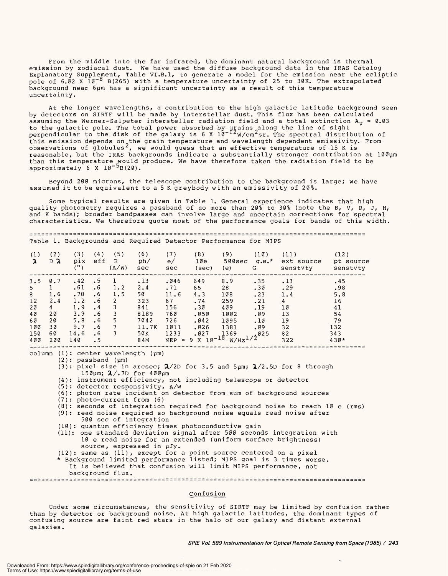From the middle into the far infrared, the dominant natural background is thermal From the middle into the far infrared, the dominant natural background is thermal emission by zodiacal dust. We have used the diffuse background data in the IRAS Catalog emission by zodiacal dust. We have used the diffuse background data in the IRAS Catalog Explanatory Supplement, Table VI.B.1, to generate a model for the emission near the ecliptic pole of 6.02 X l0<sup>-o</sup> B(265) with a temperature uncertainty of 25 to 30K. The extrapolated background near 6pm has a significant uncertainty as a result of this temperature background near 6pm has a significant uncertainty as a result of this temperature uncertainty. uncertainty. Explanatory Supplement, Table VI.B.I, to generate a model for the emission near the ecliptic pole of 6.02 X 10<sup>-6</sup> B(265) with a temperature uncertainty of 25 to 30K. The extrapolated

At the longer wavelengths, a contribution to the high galactic latitude background seen At the longer wavelengths, a contribution to the high galactic latitude background seen by detectors on SIRTF will be made by interstellar dust. This flux has been calculated by detectors on SIRTF will be made by interstellar dust. This flux has been calculated assuming the Werner-Salpeter interstellar radiation field and a total extinction  $\text{A}_{\mathbf{v}}$  = 0.03 to the galactic pole. The total power absorbed by grains along the line of sight perpendicular to the disk of the galaxy is 6 X  $10^{-12}$ W/cm<sup>2</sup>sr. The spectral distribution of this emission depends on the grain temperature and wavelength dependent emissivity. From observations of globules $^{\angle}$ , we would guess that an effective temperature of 15 K is reasonable, but the IRAS backgrounds indicate a substantially stronger contribution at 100pm reasonable, but the IRAS backgrounds indicate a substantially stronger contribution at 100pm than this temperature would produce. We have therefore taken the radiation field to be approximately 6 X  $10^{-3}$ B(20). to the galactic pole. The total power absorbed by grains along the line of sight perpendicular to the disk of the galaxy is 6 X  $10^{-12}$ W/cm $^2$ sr. The spectral distribution of this emission depends on the grain temperature and wavelength dependent emissivity. From observations of globules $^2$ , we would guess that an effective temperature of 15 K is than this temperature would produce. We have therefore taken the radiation field to be approximately 6 X 10<sup>-5</sup>B(20).

Beyond 200 microns, the telescope contribution to the background is large; we have Beyond 200 microns, the telescope contribution to the background is large; we have assumed it to be equivalent to a 5 K greybody with an emissivity of 20%.

Some typical results are given in Table 1. General experience indicates that high Some typical results are given in Table 1. General experience indicates that high quality photometry requires a passband of no more than 20% to 30% (note the B, V, R, J, H,<br>and K bands); broader bandpasses can involve large and uncertain corrections for spectral characteristics. We therefore quote most of the performance goals for bands of this width. and K bands); broader bandpasses can involve large and uncertain corrections for spectral

Table 1. Backgrounds and Required Detector Performance for MIPS Table 1. Backgrounds and Required Detector Performance for MIPS

| (1)<br>A | 〔2〕<br>$D$ $\lambda$ | (3)<br>pix<br>( " ) | (4)<br>eff | (5)<br>R<br>(A/W) | (6)<br>ph/<br>sec | e/<br>sec | (8)<br>10e<br>(sec)     | (9)<br>500sec<br>(e)       | (10)<br>$q.e.$ *<br>G | (11)<br>ext source<br>senstvty | (12)<br>pt source<br>senstvty |
|----------|----------------------|---------------------|------------|-------------------|-------------------|-----------|-------------------------|----------------------------|-----------------------|--------------------------------|-------------------------------|
| 3.5      | 0.7                  | .42                 | . 5        |                   | .13               | .046      | 649                     | 8.9                        | .35                   | .13                            | .45                           |
| -5       |                      | .61                 | $\cdot$ 6  | 1.2               | 2.4               | .71       | 65                      | 28                         | .30                   | .29                            | .98                           |
| 8        | 1.6                  | .78                 | $\cdot$ 6  | 1.5               | 50                | 11.6      | 4.3                     | 108                        | .23                   | 1.4                            | 5.8                           |
| 12       | 2.4                  | 1.2                 | . 6        | 2                 | 323               | 67        | .74                     | 259                        | .21                   | 4                              | 16                            |
| 20       | 4                    | 1.9                 | . 4        |                   | 841               | 156       | .30                     | 409                        | .19                   | 10                             | 41                            |
| 40       | 20                   | 3.9                 | $\cdot$ 6  |                   | 8189              | 760       | .050                    | 1002                       | .09                   | 13                             | 54                            |
| 60       | 20                   | 5.8                 | . 6        | 5                 | 7042              | 726       | .042                    | 1095                       | .10                   | 19                             | 79                            |
| 100      | 30                   | 9.7                 | . 6        |                   | 11.7K             | 1011      | .026                    | 1381                       | .09                   | 32                             | 132                           |
| 150      | 60                   | 14.6                | . 6        |                   | 50K               | 1233      | .027                    | 1369                       |                       | 82                             | 343                           |
| 400      | 200                  | 140                 | $\cdot$ 5  |                   | 84M               | $NEP =$   | 9 x 1ø <sup>-18</sup> . | $_{\rm W/Hz}$ 1/2 $^{025}$ |                       | 322                            | $430*$                        |

column (1): center wavelength (pm) column (1) center wavelength (pm)

(2): passband (pm) (2) passband (pm)

(3): pixel size in arcsec;  $\boldsymbol{2} / 2$ D for 3.5 and 5 $\mu$ m;  $\boldsymbol{2} / 2.5$ D for 8 through  $15$ 0μm;  $\boldsymbol{\lambda}/.7$ D for 400μm

(4): instrument efficiency, not including telescope or detector (4) instrument efficiency, not including telescope or detector

(5): detector responsivity, A/W (5) detector responsivity , A/W

(6): photon rate incident on detector from sum of background sources

(7): photo -current from (6) (7) photo-current from (6)

(8): seconds of integration required for background noise to reach 10 e (rms) (8) seconds of integration required for background noise to reach 10 e (rms) (9): read noise required so background noise equals read noise after

500 sec of integration 500 sec of integration

(10): quantum efficiency times photoconductive gain (10): quantum efficiency times photoconductive gain

(11): one standard deviation signal after 500 seconds integration with (11): one standard deviation signal after 500 seconds integration with 10 e read noise for an extended (uniform surface brightness) 10 e read noise for an extended (uniform surface brightness) source, expressed in pJy. source, expressed in pJy.

(12): same as (11), except for a point source centered on a pixel \* Background limited performance listed; MIPS goal is 3 times worse. \* Background limited performance listed; MIPS goal is 3 times worse. It is believed that confusion will limit MIPS performance, not It is believed that confusion will limit MIPS performance, not background flux. background flux. (12): same as (11) , except for a point source centered on a pixel

— — — — — — — — — — — — — — — — — — — — — • — — — — — — — — — — — — — — — — — — — — — — — — — — — — — — — — — — — — — — — — — — \_ \_\_\_\_\_ — \_\_\_

# Confusion Confusion

Under some circumstances, the sensitivity of SIRTF may be limited by confusion rather Under some circumstances, the sensitivity of SIRTF may be limited by confusion rather than by detector or background noise. At high galactic latitudes, the dominant types of than by detector or background noise. At high galactic latitudes, the dominant types of confusing source are faint red stars in the halo of our galaxy and distant external confusing source are faint red stars in the halo of our galaxy and distant external galaxies. galaxies.

SPIE Vol. 589 Instrumentation for Optical Remote Sensing from Space (1985) / 243 **SPIE Vol. 589 Instrumentation for Optical Remote Sensing from Space (1985) / 243**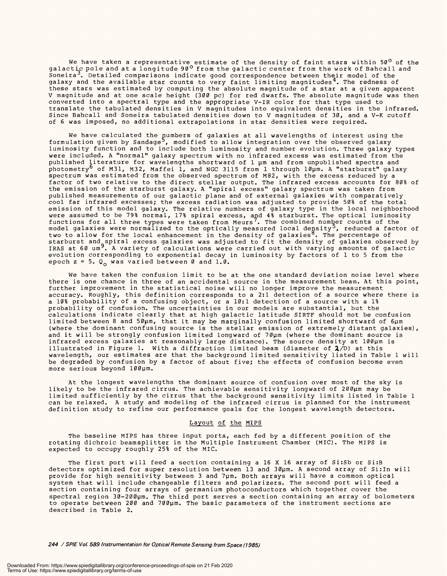We have taken a representative estimate of the density of faint stars within 50<sup>0</sup> of the<br>galactic pole and at a longitude 90<sup>0</sup> from the galactic center from the work of Bahcall and Soneira'. Detailed comparisons indicate good correspondence between their model of the Soneira . Detailed comparisons indicate good correspondence between their model of the galaxy and the available star counts to very faint limiting magnitudes<sup>4</sup>. The redness of these stars was estimated by computing the absolute magnitude of a star at a given apparent V magnitude and at one scale height (300 pc) for red dwarfs. The absolute magnitude was then converted into a spectral type and the appropriate V -IR color for that type used to converted into a spectral type and the appropriate V-IR color for that type used to translate the tabulated densities in V magnitudes into equivalent densities in the infrared. translate the tabulated densities in V magnitudes into equivalent densities in the infrared. Since Bahcall and Soneira tabulated densities down to V magnitudes of 30, and a V -K cutoff Since Bahcall and Soneira tabulated densities down to V magnitudes of 30, and a V-K cutoff of 6 was imposed, no additional extrapolations in star densities were required. of 6 was imposed, no additional extrapolations in star densities were required. galactic pole and at a longitude 90  $^{\rm o}$  from the galactic center from the work of Bahcall and these stars was estimated by computing the absolute magnitude of a star at a given apparent V magnitude and at one scale height (300 pc) for red dwarfs. The absolute magnitude was then

We have calculated the  $\mathfrak p$ umbers of galaxies at all wavelengths of interest using the formulation given by Sandage<sup>5</sup>, modified to allow integration over the observed galaxy luminosity function and to include both luminosity and number evolution. Three galaxy types luminosity function and to include both luminosity and number evolution. Three galaxy types were included. A "normal" galaxy spectrum with no infrared excess was estimated from the were included. A "normal" galaxy spectrum with no infrared excess was estimated from the published literature for wavelengths shortward of 1 pm and from unpublished spectra and photometry<sup>o</sup> of M31, M32, Maffei 1, and NGC 3115 from 1 through 10µm. A "starburst" galaxy spectrum was estimated from the observed spectrum of M82, with the excess reduced by a factor of two relative to the direct stellar output. The infrared excess accounts for 80% of factor of two relative to the direct stellar output. The infrared excess accounts for 80% of the emission of the starburst galaxy. A "spiral excess" galaxy spectrum was taken from the emission of the starburst galaxy. A "spiral excess" galaxy spectrum was taken from published measurements of our galactic plane and of external galaxies with comparatively published measurements of our galactic plane and of external galaxies with comparatively cool far infrared excesses; the excess radiation was adjusted to provide 50% of the total cool far infrared excesses; the excess radiation was adjusted to provide 50% of the total emission of this model galaxy. The relative numbers of galaxy type in the local neighborhood emission of this model galaxy. The relative numbers of galaxy type in the local neighborhood were assumed to be 79% normal, 17% spiral excess, and 4% starburst. The optical luminosity functions for all three types were taken from Meurs'. The combined number counts of the model galaxies were normalized to the optically measured local de $\mathfrak{g}$ sity $^{\mathfrak{I}}$ , reduced a factor of two to allow for the local enhancement in the density of galaxies<sup>8</sup>. The percentage of starburst and spiral excess galaxies was adjusted to fit the density of galaxies observed by IRAS at 60 um<sup>9</sup>. A variety of calculations were carried out with varying amounts of galactic evolution corresponding to exponential decay in luminosity by factors of 1 to 5 from the evolution corresponding to exponential decay in luminosity by factors of 1 to 5 from the epoch z = 5. Q<sub>o</sub> was varied between 0 and 1.0. We have calculated the pumbers of galaxies at all wavelengths of interest using the formulation given by Sandage<sup>3</sup>, modified to allow integration over the observed galaxy published  $\underline{\ }$ iterature for wavelengths shortward of  $1$   $\mu$ m and from unpublished spectra and photometry<sup>o</sup> of M31, M32, Maffei 1, and NGC 3115 from 1 through 10µm. A "starburst" galaxy spectrum was estimated from the observed spectrum of M82, with the excess reduced by a were assumed to be 79% normal, 17% spiral excess, and 4% starburst. The optical luminosity functions for all three types were taken from Meurs'. The combined number counts of the model galaxies were normalized to the optically measured local de $\mathfrak{g}\mathfrak{sigity}$ 7, reduced a factor of two to allow for the local enhancement in the density of galaxies<sup>8</sup>. The percentage of starburst and spiral excess galaxies was adjusted to fit the density of galaxies observed by IRAS at 60 um<sup>9</sup>. A variety of calculations were carried out with varying amounts of galactic

We have taken the confusion limit to be at the one standard deviation noise level where We have taken the confusion limit to be at the one standard deviation noise level where there is one chance in three of an accidental source in the measurement beam. At this point, there is one chance in three of an accidental source in the measurement beam. At this point, further improvement in the statistical noise will no longer improve the measurement further improvement in the statistical noise will no longer improve the measurement accuracy. Roughly, this definition corresponds to a 2:1 detection of a source where there is accuracy. Roughly, this definition corresponds to a 2:1 detection of a source where there is a 10% probability of a confusing object, or a 10:1 detection of a source with a 1% a 10% probability of a confusing object, or a 10:1 detection of a source with a 1% probability of confusion. The uncertainties in our models are substantial, but the probability of confusion. The uncertainties in our models are substantial, but the calculations indicate clearly that at high galactic latitude SIRTF should not be confusion calculations indicate clearly that at high galactic latitude SIRTF should not be confusion limited between 8 and 50pm, that it may be marginally confusion limited shortward of 6pm limited between 8 and 50pm, that it may be marginally confusion limited shortward of 6pm (where the dominant confusing source is the stellar emission of extremely distant galaxies), (where the dominant confusing source is the stellar emission of extremely distant galaxies), and it will be strongly confusion limited longward of 70µm (where the dominant source is infrared excess galaxies at reasonably large distance). The source density at 100µm is illustrated in Figure 1. With a diffraction limited beam (diameter of  $\pmb{\lambda} / \text{D}$ ) at this wavelength, our estimates are that the background limited sensitivity listed in Table 1 will wavelength, our estimates are that the background limited sensitivity listed in Table 1 will be degraded by confusion by a factor of about five; the effects of confusion become even be degraded by confusion by a factor of about five; the effects of confusion become even more serious beyond 100pm. more serious beyond 100pm.

At the longest wavelengths the dominant source of confusion over most of the sky is At the longest wavelengths the dominant source of confusion over most of the sky is likely to be the infrared cirrus. The achievable sensitivity longward of 200pm may be likely to be the infrared cirrus. The achievable sensitivity longward of 200pm may be limited sufficiently by the cirrus that the background sensitivity limits listed in Table 1 can be relaxed. A study and modeling of the infrared cirrus is planned for the instrument definition study to refine our performance goals for the longest wavelength detectors. definition study to refine our performance goals for the longest wavelength detectors. limited sufficiently by the cirrus that the background sensitivity limits listed in Table 1 can be relaxed. A study and modeling of the infrared cirrus is planned for the instrument

# Layout of the MIPS

The baseline MIPS has three input ports, each fed by a different position of the The baseline MIPS has three input ports, each fed by a different position of the rotating dichroic beamsplitter in the Multiple Instrument Chamber (MIC). The MIPS is rotating dichroic beamsplitter in the Multiple Instrument Chamber (MIC). The MIPS is expected to occupy roughly 25% of the MIC. expected to occupy roughly 25% of the MIC.

The first port will feed a section containing a 16 X 16 array of Si:Sb or Si:B The first port will feed a section containing a 16 X 16 array of Si:Sb or Si:B detectors optimized for super resolution between 13 and 30pm. A second array of Si:In will detectors optimized for super resolution between 13 and 30pm. A second array of Si:In will provide for high sensitivity between 3 and 7pm. Both arrays will have a common optical provide for high sensitivity between 3 and 7pm. Both arrays will have a common optical system that will include changeable filters and polarizers. The second port will feed a system that will include changeable filters and polarizers. The second port will feed a section containing four arrays of germanium photoconductors which together cover the section containing four arrays of germanium photoconductors which together cover the spectral region 30-200µm. The third port serves a section containing an array of bolometers to operate between 200 and 700µm. The basic parameters of the instrument sections are described in Table 2. described in Table 2.

244 / SPIE Vol. 589 Instrumentation for Optical Remote Sensing from Space (1985) **244 / SPIE Vol. 589 Instrumentation for Optical Remote Sensing from Space (1985)**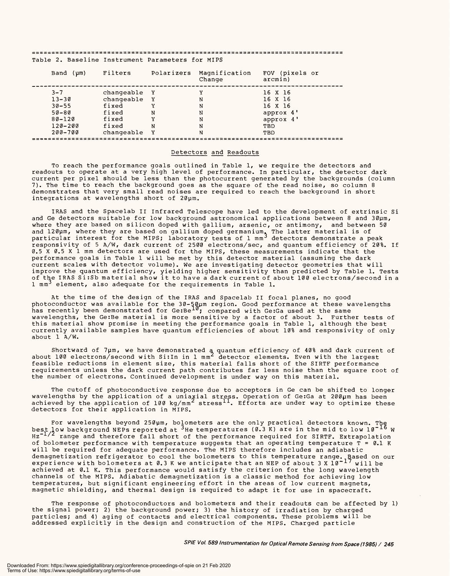Table 2. Baseline Instrument Parameters for MIPS Table 2. Baseline Instrument Parameters for MIPS

| Band (um)   | Filters      |   | Polarizers Magnification<br>Change | FOV (pixels or<br>arcmin) |
|-------------|--------------|---|------------------------------------|---------------------------|
| $3 - 7$     | changeable Y |   |                                    | 16 X 16                   |
| $13 - 30$   | changeable   | Y | N                                  | 16 X 16                   |
| $30 - 55$   | fixed        | Y | N                                  | 16 X 16                   |
| $50 - 80$   | fixed        | N | N                                  | approx 4'                 |
| $80 - 120$  | fixed        | Y | N                                  | approx 4'                 |
| $120 - 200$ | fixed        | N | N                                  | TBD                       |
| $200 - 700$ | changeable Y |   | N                                  | TBD                       |
|             |              |   |                                    |                           |

# Detectors and Readouts Detectors and Readouts

To reach the performance goals outlined in Table 1, we require the detectors and readouts to operate at a very high level of performance. In particular, the detector dark current per pixel should be less than the photocurrent generated by the backgrounds (column current per pixel should be less than the photocurrent generated by the backgrounds (column 7). The time to reach the background goes as the square of the read noise, so column 8 7). The time to reach the background goes as the square of the read noise, so column 8 demonstrates that very small read noises are required to reach the background in short demonstrates that very small read noises are required to reach the background in short integrations at wavelengths short of 20pm. integrations at wavelengths short of 20pm. To reach the performance goals outlined in Table 1, we require the detectors and readouts to operate at a very high level of performance. In particular, the detector dark

IRAS and the Spacelab II Infrared Telescope have led to the development of extrinsic Si IRAS and the Spacelab II Infrared Telescope have led to the development of extrinsic Si and Ge detectors suitable for low background astronomical applications between 8 and 30pm, and Ge detectors suitable for low background astronomical applications between 8 and 30pm, where they are based on silicon doped with gallium, arsenic, or antimony, and between 50 and 120µm, where they are based on gallium doped germanium, The latter material is of particular interest for the MIPS; laboratory tests of 1 mm<sup>3</sup> detectors demonstrate a peak responsivity of 5 A/W, dark current of 2500 electrons/sec, and quantum efficiency of 20%. If 0.5 X 0.5 X 1 mm detectors are used for the MIPS, these measurements indicate that the performance goals in Table 1 will be met by this detector material (assuming the dark current scales with detector volume). We are investigating detector geometries that will current scales with detector volume). We are investigating detector geometries that will improve the quantum efficiency, yielding higher sensitivity than predicted by Table 1. Tests of the IRAS Si:Sb material show it to have a dark current of about 100 electrons /second in a 1 mm3 element, also adequate for the requirements in Table 1. 1 mm3 element, also adequate for the requirements in Table 1. where they are based on silicon doped with gallium, arsenic, or antimony, and between 50 and 120pm, where they are based on gallium doped germanium. The latter material is of particular interest for the MIPS; laboratory tests of  $1$  mm $^3$  detectors demonstrate a peak responsivity of 5 A/W, dark current of 2500 electrons/sec, and quantum efficiency of 20%. If 0.5 X 0.5 X 1 mm detectors are used for the MIPS, these measurements indicate that the performance goals in Table 1 will be met by this detector material (assuming the dark improve the quantum efficiency, yielding higher sensitivity than predicted by Table 1. Tests of the IRAS Si:Sb material show it to have a dark current of about 100 electrons/second in <sup>a</sup>

At the time of the design of the IRAS and Spacelab II focal planes, no good At the time of the design of the IRAS and Spacelab II focal planes, no good photoconductor was available for the 30-50µm region. Good performance at these wavelengths has recently been demonstrated for Ge:Be<sup>10</sup>; compared with Ge:Ga used at the same wavelengths, the Ge:Be material is more sensitive by a factor of about 3. Further tests of wavelengths, the Ge:Be material is more sensitive by a factor of about 3. Further tests of this material show promise in meeting the performance goals in Table 1, although the best this material show promise in meeting the performance goals in Table 1, although the best currently available samples have quantum efficiencies of about 10% and responsivity of only currently available samples have quantum efficiencies of about 10% and responsivity of only about 1 A /W. about 1 A/W. photoconductor was available for the 30-50um region. Good performance at these wavelengths has recently been demonstrated for Ge:Be<sup>i0</sup>; compared with Ge:Ga used at the same

Shortward of 7pm, we have demonstrated <sup>a</sup> quantum efficiency of 40% and dark current of about 100 electrons /second with Si:In in 1 mm2 detector elements. Even with the largest feasible reductions in element size, this material falls short of the SIRTF performance feasible reductions in element size, this material falls short of the SIRTF performance requirements unless the dark current path contributes far less noise than the square root of requirements unless the dark current path contributes far less noise than the square root of the number of electrons. Continued development is under way on this material. the number of electrons. Continued development is under way on this material. Shortward of 7pm, we have demonstrated a quantum efficiency of 40% and dark current of about 100 electrons/second with Si:In in 1  $\,$ mm $^{\mathsf{c}}\,$  detector elements. Even with the largest

The cutoff of photoconductive response due to acceptors in Ge can be shifted to longer The cutoff of photoconductive response due to acceptors in Ge can be shifted to longer wavelengths by the application of a uniakial stress. Operation of Ge:Ga at 200pm has been achieved by the application of 100 kg/mm<sup>2</sup> stress<sup>11</sup>. Efforts are under way to optimize these detectors for their application in MIPS. detectors for their application in MIPS. wavelengths by the application of a uniaxial stress. Operation of GerGa at 200pm has been achieved by the application of 100 kg/mm<sup>2</sup> stress<sup>11</sup>. Efforts are under way to optimize these

For wavelengths beyond 250µm, bolometers are the only practical detectors known. The تbest<br>best low background NEPs reported at <sup>3</sup>He temperatures (0.3 K) are in the mid to low 10<sup>-16</sup> W Hz<sup>-1/2</sup> range and therefore fall short of the performance required for SIRTF. Extrapolation of bolometer performance with temperature suggests that an operating temperature T = 0.1 K of bolometer performance with temperature suggests that an operating temperature T = 0.1 <sup>K</sup> will be required for adequate performance. The MIPS therefore includes an adiabatic will be required for adequate performance. The MIPS therefore includes an adiabatic demagnetization refrigerator to cool the bolometers to this temperature range. Based on our experience with bolometers at 0.3 K we anticipate that an NEP of about 3 X 10  $^{-1}$   $^{\prime}$  will be achieved at 0.1 K. This performance would satisfy the criterion for the long wavelength achieved at 0.1 K. This performance would satisfy the criterion for the long wavelength channels of the MIPS. Adiabatic demagnetization is a classic method for achieving low temperatures, but significant engineering effort in the areas of low current magnets, magnetic shielding, and thermal design is required to adapt it for use in spacecraft. magnetic shielding, and thermal design is required to adapt it for use in spacecraft. For wavelengths beyond 250um, bolometers are the only practical detectors known. The best low background NEPs reported at <sup>3</sup>He temperatures (0.3 K) are in the mid to low  $10^{-16}$  W Hz<sup>-1/2</sup> range and therefore fall short of the performance required for SIRTF. Extrapolation demagnetization refrigerator to cool the bolometers to this temperature range. Based on our experience with bolometers at 0.3 K we anticipate that an NEP of about 3 X  $10^{-1}$   $^{\prime}$  will be channels of the MIPS. Adiabatic demagnetization is a classic method for achieving low temperatures, but significant engineering effort in the areas of low current magnets,

The response of photoconductors and bolometers and their readouts can be affected by 1) the signal power; 2) the background power; 3) the history of irradiation by charged particles; and 4) aging of contacts and electrical components. These problems will be particles; and 4) aging of contacts and electrical components. These problems will be addressed explicitly in the design and construction of the MIPS. Charged particle addressed explicitly in the design and construction of the MIPS. Charged particle The response of photoconductors and bolometers and their readouts can be affected by 1) the signal power; 2) the background power; 3) the history of irradiation by charged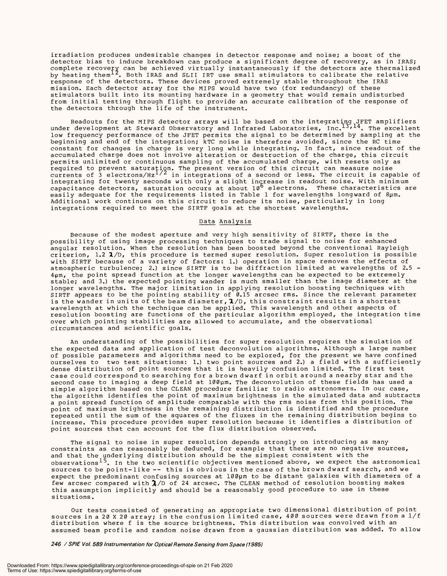irradiation produces undesirable changes in detector response and noise; a boost of the irradiation produces undesirable changes in detector response and noise; a boost of the detector bias to induce breakdown can produce a significant degree of recovery, as in IRAS; detector bias to induce breakdown can produce a significant degree of recovery, as in IRAS; complete recovery can be achieved virtually instantaneously if the detectors are thermalized by heating them<sup>12</sup>. Both IRAS and SLII IRT use small stimulators to calibrate the relative response of the detectors. These devices proved extremely stable throughout the IRAS response of the detectors. These devices proved extremely stable throughout the IRAS mission. Each detector array for the MIPS would have two (for redundancy) of these mission. Each detector array for the MIPS would have two (for redundancy) of these stimulators built into its mounting hardware in a geometry that would remain undisturbed stimulators built into its mounting hardware in a geometry that would remain undisturbed from initial testing through flight to provide an accurate calibration of the response of from initial testing through flight to provide an accurate calibration of the response of the detectors through the life of the instrument. the detectors through the life of the instrument. complete recovery can be achieved virtually instantaneously if the detectors are thermalized by heating them<sup>12</sup>. Both IRAS and SLII IRT use small stimulators to calibrate the relative

Readouts for the MIPS detector arrays will be based on the integrating JFET amplifiers under development at Steward Observatory and Infrared Laboratories, Inc.<sup>13,14</sup>. The excellent low frequency performance of the JFET permits the signal to be determined by sampling at the low frequency performance of the JFET permits the signal to be determined by sampling at the beginning and end of the integration; kTC noise is therefore avoided, since the RC time beginning and end of the integration; kTC noise is therefore avoided, since the RC time constant for changes in charge is very long while integrating. In fact, since readout of the constant for changes in charge is very long while integrating. In fact, since readout of the accumulated charge does not involve alteration or destruction of the charge, this circuit accumulated charge does not involve alteration or destruction of the charge, this circuit permits unlimited or continuous sampling of the accumulated charge, with resets only as required to prevent saturațion. The present version of this circuit can measure noise currents of 3 electrons/Hz $^{1/2}$  in integrations of a second or less. The circuit is capable of integrating for twenty seconds with only a slight increase in readout noise. With minimum capacitance detectors, saturation occurs at about  $10^{\mathsf{6}}$  electrons. These characteristics are easily adequate for the requirements listed in Table 1 for wavelengths longward of 8pm. Additional work continues on this circuit to reduce its noise, particularly in long Additional work continues on this circuit to reduce its noise, particularly in long integrations required to meet the SIRTF goals at the shortest wavelengths. integrations required to meet the SIRTF goals at the shortest wavelengths. Readouts for the MIPS detector arrays will be based on the integrating JFET amplifiers under development at Steward Observatory and Infrared Laboratories, Inc.<sup>13,14</sup>. The excellent permits unlimited or continuous sampling of the accumulated charge, with resets only as required to prevent saturațion. The present version of this circuit can measure noise currents of 3 electrons/Hz $^{1/2}$  in integrations of a second or less. The circuit is capable of integrating for twenty seconds with only a slight increase in readout noise. With minimum capacitance detectors, saturation occurs at about  $10^{\sf o}$  electrons. These characteristics are easily adequate for the requirements listed in Table 1 for wavelengths longward of 8pm.

#### Data Analysis Data Analysis

Because of the modest aperture and very high sensitivity of SIRTF, there is the Because of the modest aperture and very high sensitivity of SIRTF, there is the possibility of using image processing techniques to trade signal to noise for enhanced possibility of using image processing techniques to trade signal to noise for enhanced angular resolution. When the resolution has been boosted beyond the conventional Rayleigh angular resolution. When the resolution has been boosted beyond the conventional Rayleigh criterion, 1.2 1 /D, this procedure is termed super resolution. Super resolution is possible criterion, 1.2 1/D, this procedure is termed super resolution. Super resolution is possible with SIRTF because of a variety of factors: 1.) operation in space removes the effects of atmospheric turbulence; 2.) since SIRTF is to be diffraction limited at wavelengths of 2.5 - 4pm, the point spread function at the longer wavelengths can be expected to be extremely 4um, the point spread function at the longer wavelengths can be expected to be extremely stable; and 3.) the expected pointing wander is much smaller than the image diameter at the stable; and 3.) the expected pointing wander is much smaller than the image diameter at the longer wavelengths. The major limitation in applying resolution boosting techniques with SIRTF appears to be the pointing stability of 0.15 arcsec rms. Since the relevant parameter is the wander in units of the beam diameter,  $\mathbf{1}/\texttt{D}$ , this constraint results in a shortest wavelength at which the technique can be applied. This wavelength and other aspects of resolution boosting are functions of the particular algorithm employed, the integration time resolution boosting are functions of the particular algorithm employed, the integration time over which pointing stabilities are allowed to accumulate, and the observational over which pointing stabilities are allowed to accumulate, and the observational circumstances and scientific goals. circumstances and scientific goals. with SIRTF because of a variety of factors: 1.) operation in space removes the effects of atmospheric turbulence; 2.) since SIRTF is to be diffraction limited at wavelengths of 2.5 longer wavelengths. The major limitation in applying resolution boosting techniques with SIRTF appears to be the pointing stability of 0.15 arcsec rms. Since the relevant parameter is the wander in units of the beam diameter,  $\pmb{1}/\texttt{D}$ , this constraint results in a shortest wavelength at which the technique can be applied. This wavelength and other aspects of

An understanding of the possibilities for super resolution requires the simulation of An understanding of the possibilities for super resolution requires the simulation of the expected data and application of test deconvolution algorithms. Although a large number the expected data and application of test deconvolution algorithms. Although a large number of possible parameters and algorithms need to be explored, for the present we have confined of possible parameters and algorithms need to be explored, for the present we have confined ourselves to two test situations: 1.) two point sources and 2.) a field with a sufficiently ourselves to two test situations: 1.) two point sources and 2.) a field with a sufficiently dense distribution of point sources that it is heavily confusion limited. The first test dense distribution of point sources that it is heavily confusion limited. The first test case could correspond to searching for a brown dwarf in orbit around a nearby star and the case could correspond to searching for a brown dwarf in orbit around a nearby star and the second case to imaging a deep field at 100pm. The deconvolution of these fields has used a second case to imaging a deep field at 100pm. The deconvolution of these fields has used <sup>a</sup> simple algorithm based on the CLEAN procedure familiar to radio astronomers. In our case, simple algorithm based on the CLEAN procedure familiar to radio astronomers. In our case, the algorithm identifies the point of maximum brightness in the simulated data and subtracts the algorithm identifies the point of maximum brightness in the simulated data and subtracts a point spread function of amplitude comparable with the rms noise from this position. The <sup>a</sup>point spread function of amplitude comparable with the rms noise from this position. The point of maximum brightness in the remaining distribution is identified and the procedure point of maximum brightness in the remaining distribution is identified and the procedure repeated until the sum of the squares of the fluxes in the remaining distribution begins to increase. This procedure provides super resolution because it identifies a distribution of point sources that can account for the flux distribution observed. point sources that can account for the flux distribution observed. repeated until the sum of the squares of the fluxes in the remaining distribution begins to increase. This procedure provides super resolution because it identifies a distribution of

The signal to noise in super resolution depends strongly on introducing as many The signal to noise in super resolution depends strongly on introducing as many constraints as can reasonably be deduced, for example that there are no negative sources, constraints as can reasonably be deduced, for example that there are no negative sources, and that the underlying distribution should be the simplest consistent with the and that the underlying distribution should be the simplest consistent with the observations<sup>15</sup>. In the two scientific objectives mentioned above, we expect the astronomical sources to be point -like -- this is obvious in the case of the brown dwarf search, and we sources to be point-like -- this is obvious in the case of the brown dwarf search, and we expect the predominant confusing sources at lØØµm to be distant galaxies with diameters of a few arcsec compared with X/D of 24 arcsec. The CLEAN method of resolution boosting makes few arcsec compared with ^L/D of 24 arcsec. The CLEAN method of resolution boosting makes this assumption implicitly and should be a reasonably good procedure to use in these this assumption implicitly and should be a reasonably good procedure to use in these situations. situations.

Our tests consisted of generating an appropriate two dimensional distribution of point Our tests consisted of generating an appropriate two dimensional distribution of point sources in a 20 X 20 array; in the confusion limited case, 400 sources were drawn from a 1/f sources in a 20 X 20 array; in the confusion limited case, 400 sources were drawn from a 1/f distribution where f is the source brightness. This distribution was convolved with an distribution where f is the source brightness. This distribution was convolved with an assumed beam profile and random noise drawn from a gaussian distribution was added. To allow assumed beam profile and random noise drawn from a gaussian distribution was added. To allow

246 /SPIE Vol. 589 Instrumentation for Optical Remote Sensing from Space (1985)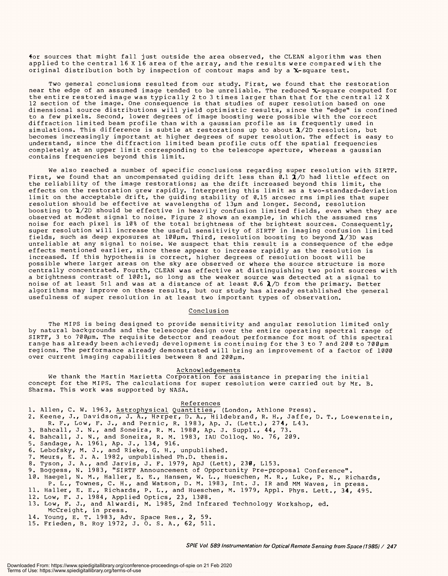4or sources that might fall just outside the area observed, the CLEAN algorithm was then 4or sources that might fall just outside the area observed, the CLEAN algorithm was then applied to the central 16 X 16 area of the array, and the results were compared with the applied to the central 16 X 16 area of the array, and the results were compared with the original distribution both by inspection of contour maps and by a  $\mathbf{\hat{x}}$ -square test.

Two general conclusions resulted from our study. First, we found that the restoration Two general conclusions resulted from our study. First, we found that the restoration near the edge of an assumed image tended to be unreliable. The reduced X- square computed for near the edge of an assumed image tended to be unreliable. The reduced "X-square computed for the entire restored image was typically 2 to 3 times larger than that for the central 12 X 12 section of the image. One consequence is that studies of super resolution based on one dimensional source distributions will yield optimistic results, since the "edge" is confined dimensional source distributions will yield optimistic results, since the "edge" is confined to a few pixels. Second, lower degrees of image boosting were possible with the correct to a few pixels. Second, lower degrees of image boosting were possible with the correct diffraction limited beam profile than with a gaussian profile as is frequently used in diffraction limited beam profile than with a gaussian profile as is frequently used in simulations. This difference is subtle at restorations up to about  $\lambda/2$ D resolution, but becomes increasingly important at higher degrees of super resolution. The effect is easy to becomes increasingly important at higher degrees of super resolution. The effect is easy to understand, since the diffraction limited beam profile cuts off the spatial frequencies understand, since the diffraction limited beam profile cuts off the spatial frequencies completely at an upper limit corresponding to the telescope aperture, whereas a gaussian completely at an upper limit corresponding to the telescope aperture, whereas a gaussian contains frequencies beyond this limit. contains frequencies beyond this limit. the entire restored image was typically 2 to 3 times larger than that for the central 12 <sup>X</sup> 12 section of the image. One consequence is that studies of super resolution based on one

We also reached a number of specific conclusions regarding super resolution with SIRTF. We also reached a number of specific conclusions regarding super resolution with SIRTF. First, we found that an uncompensated guiding drift less than  $\mathfrak{g}.1$   $\mathfrak{A}/\mathbb{D}$  had little effect on the reliability of the image restorations; as the drift increased beyond this limit, the the reliability of the image restorations; as the drift increased beyond this limit, the effects on the restoration grew rapidly. Interpreting this limit as a two -standard -deviation effects on the restoration grew rapidly. Interpreting this limit as a two-standard-deviation limit on the acceptable drift, the guiding stability of 0.15 arcsec rms implies that super limit on the acceptable drift, the guiding stability of 0.15 arcsec rms implies that super resolution should be effective at wavelengths of 13pm and longer. Second, resolution resolution should be effective at wavelengths of 13um and longer. Second, resolution boosting to  $\boldsymbol{\lambda}/2$ D should be effective in heavily confusion limited fields, even when they are observed at modest signal to noise. Figure 2 shows an example, in which the assumed rms observed at modest signal to noise. Figure 2 shows an example, in which the assumed rms noise for each pixel is 10% of the total brightness of the brightest sources. Consequently, noise for each pixel is 10% of the total brightness of the brightest sources. Consequently, super resolution will increase the useful sensitivity of SIRTF in imaging confusion limited super resolution will increase the useful sensitivity of SIRTF in imaging confusion limited fields, such as deep exposures at 100µm. Third, resolution boosting to beyond  $\pmb{\lambda} /3\text{D}$  was unreliable at any signal to noise. We suspect that this result is a consequence of the edge unreliable at any signal to noise. We suspect that this result is <sup>a</sup>consequence of the edge effects mentioned earlier, since these appear to increase rapidly as the resolution is effects mentioned earlier, since these appear to increase rapidly as the resolution is increased. If this hypothesis is correct, higher degrees of resolution boost will be increased. If this hypothesis is correct, higher degrees of resolution boost will be possible where larger areas on the sky are observed or where the source structure is more possible where larger areas on the sky are observed or where the source structure is more centrally concentrated. Fourth, CLEAN was effective at distinguishing two point sources with centrally concentrated. Fourth, CLEAN was effective at distinguishing two point sources with a brightness contrast of 100:1, so long as the weaker source was detected at a signal to <sup>a</sup>brightness contrast of 100:1, so long as the weaker source was detected at a signal to noise of at least 5:1 and was at a distance of at least 0.6  $\pmb{\lambda} /$ D from the primary. Better algorithms may improve on these results, but our study has already established the general algorithms may improve on these results, but our study has already established the general usefulness of super resolution in at least two important types of observation. usefulness of super resolution in at least two important types of observation.

# Conclusion Conclusion

The MIPS is being designed to provide sensitivity and angular resolution limited only The MIPS is being designed to provide sensitivity and angular resolution limited only by natural backgrounds and the telescope design over the entire operating spectral range of SIRTF, 3 to 700µm. The requisite detector and readout performance for most of this spectral range has already been achieved; development is continuing for the 3 to 7 and 200 to 700pm range has already been achieved; development is continuing for the 3 to 7 and 200 to 700pm regions. The performance already demonstrated will bring an improvement of a factor of 1000 regions. The performance already demonstrated will bring an improvement of a factor of 1000 over current imaging capabilities between 8 and 200pm. over current imaging capabilities between 8 and 200pm. by natural backgrounds and the telescope design over the entire operating spectral range of SIRTF, 3 to 700um. The requisite detector and readout performance for most of this spectral

#### Acknowledgements Acknowledgements

We thank the Martin Marietta Corporation for assistance in preparing the initial We thank the Martin Marietta Corporation for assistance in preparing the initial concept for the MIPS. The calculations for super resolution were carried out by Mr. B. concept for the MIPS. The calculations for super resolution were carried out by Mr. B. Sharma. This work was supported by NASA. Sharma. This work was supported by NASA.

#### References

- References<br>1. Allen, C. W. 1963, Astrophysical Quantities, (London, Athlone Press). 1. Alien, C. W. 1963, Astrophysical Quantities, (London, Athlone Press).
- 2. Keene, J., Davidson, J. A., Harper, D. A., Hildebrand, R. H., Jaffe, D. T., Loewenstein, 2. Keene, J., Davidson, J. A., Harper, D. A., Hildebrand, R. H., Jaffe, D, T., Loewenstein, R. F., Low, F. J., and Pernic, R. 1983, Ap. J. (Lett.), 274, L43.
- 3. Bahcall, J. N., and Soneira, R. M. 1980, Ap. J. Suppl., 44, 73. R. F., Low, F. J., and Pernic, R. 1983, Ap. J. (Lett.), 274, L43. 3. Bahcall, J. N., and Soneira, R. M. 1980, Ap. J. Suppl., 44, 73.
- 4. Bahcall, J. N., and Soneira, R. M. 1983, IAU Colloq. No. 76, 209. 4. Bahcall, J. N., and Soneira, R. M. 1983, IAU Colloq. No. 76, 209.
- 5. Sandage, A. 1961, Ap. J., 134, 916. 5. Sandage, A. 1961, Ap. J., 134, 916.
- 6. Lebofsky, M. J., and Rieke, G. H., unpublished. 6. Lebofsky, M. J., and Rieke, G. H., unpublished.
- 7. Meurs, E. J. A. 1982, unpublished Ph.D. thesis. 7. Meurs, E. J. A. 1982, unpublished Ph.D. thesis.
- 8. Tyson, J. A., and Jarvis, J. F. 1979, ApJ (Lett), 230, L153. 8. Tyson, J. A., and Jarvis, J. F. 1979, ApJ (Lett), 230, L153.
- 9. Boggess, N. 1983, " SIRTF Announcement of Opportunity Pre -proposal Conference ". 9. Boggess, N. 1983, "SIRTF Announcement of Opportunity Pre-proposal Conference".
- 10. Haegel, N. M., Haller, E. E., Hansen, W. L., Hueschen, M. R., Luke, P. N., Richards, 10. Haegel, N. M., Haller, E. E., Hansen, W. L., Hueschen, M. R., Luke, P. N., Richards,
- P. L., Townes, C. H., and Watson, D. M. 1983, Int. J. IR and MM Waves, in press. P. L., Townes, C. H., and Watson, D. M. 1983, Int. J. IR and MM Waves, in press.
- 11. Haller, E. E., Richards, P. L., and Hueschen, M. 1979, Appl. Phys. Lett., 34, 495. 11. Haller, E. E., Richards, P. L., and Hueschen, M. 1979, Appl. Phys. Lett., 34, 495.
- 12. Low, F. J. 1984, Applied Optics, 23, 1308. 12. Low, F. J. 1984, Applied Optics, 23, 1308.
- 13. Low, F. J., and Alwardi, M. 1985, 2nd Infrared Technology Workshop, ed. McCreight, in press. 13. Low, F. J., and Alwardi, M. 1985, 2nd Infrared Technology Workshop, ed. McCreight, in press.
- 14. Young, E. T. 1983, Adv. Space Res., 2, 59. 14. Young, E. T. 1983, Adv. Space Res., 2, 59.
- 15. Frieden, B. Roy 1972, J. O. S. A., 62, 511. 15. Frieden, B. Roy 1972, J. 0. S. A., 62, 511.